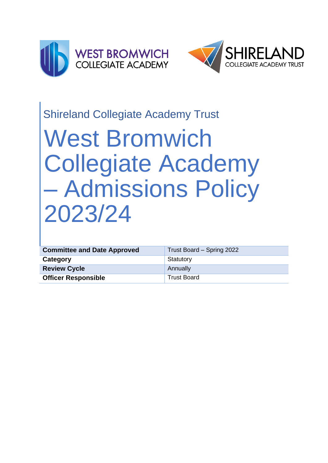



# Shireland Collegiate Academy Trust

# West Bromwich Collegiate Academy – Admissions Policy 2023/24

| <b>Committee and Date Approved</b> | Trust Board - Spring 2022 |
|------------------------------------|---------------------------|
| Category                           | Statutory                 |
| <b>Review Cycle</b>                | Annually                  |
| <b>Officer Responsible</b>         | <b>Trust Board</b>        |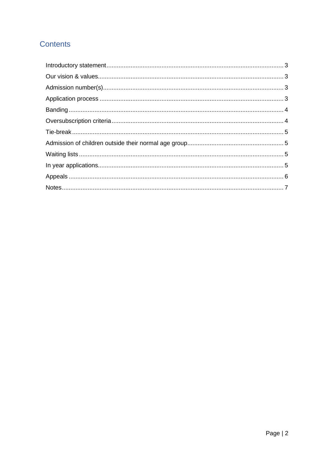## **Contents**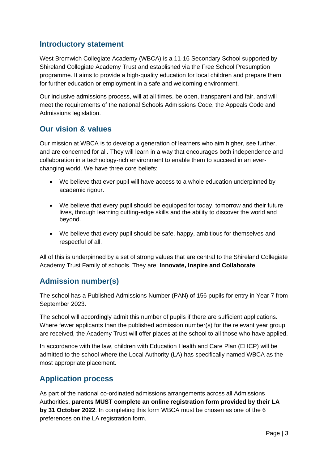#### <span id="page-2-0"></span>**Introductory statement**

West Bromwich Collegiate Academy (WBCA) is a 11-16 Secondary School supported by Shireland Collegiate Academy Trust and established via the Free School Presumption programme. It aims to provide a high-quality education for local children and prepare them for further education or employment in a safe and welcoming environment.

Our inclusive admissions process, will at all times, be open, transparent and fair, and will meet the requirements of the national Schools Admissions Code, the Appeals Code and Admissions legislation.

#### <span id="page-2-1"></span>**Our vision & values**

Our mission at WBCA is to develop a generation of learners who aim higher, see further, and are concerned for all. They will learn in a way that encourages both independence and collaboration in a technology-rich environment to enable them to succeed in an everchanging world. We have three core beliefs:

- We believe that ever pupil will have access to a whole education underpinned by academic rigour.
- We believe that every pupil should be equipped for today, tomorrow and their future lives, through learning cutting-edge skills and the ability to discover the world and beyond.
- We believe that every pupil should be safe, happy, ambitious for themselves and respectful of all.

All of this is underpinned by a set of strong values that are central to the Shireland Collegiate Academy Trust Family of schools. They are: **Innovate, Inspire and Collaborate**

#### <span id="page-2-2"></span>**Admission number(s)**

The school has a Published Admissions Number (PAN) of 156 pupils for entry in Year 7 from September 2023.

The school will accordingly admit this number of pupils if there are sufficient applications. Where fewer applicants than the published admission number(s) for the relevant year group are received, the Academy Trust will offer places at the school to all those who have applied.

In accordance with the law, children with Education Health and Care Plan (EHCP) will be admitted to the school where the Local Authority (LA) has specifically named WBCA as the most appropriate placement.

#### <span id="page-2-3"></span>**Application process**

As part of the national co-ordinated admissions arrangements across all Admissions Authorities, **parents MUST complete an online registration form provided by their LA by 31 October 2022**. In completing this form WBCA must be chosen as one of the 6 preferences on the LA registration form.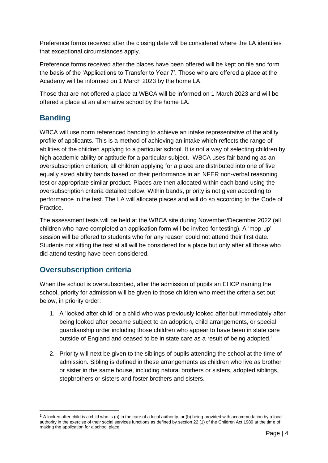Preference forms received after the closing date will be considered where the LA identifies that exceptional circumstances apply.

Preference forms received after the places have been offered will be kept on file and form the basis of the 'Applications to Transfer to Year 7'. Those who are offered a place at the Academy will be informed on 1 March 2023 by the home LA.

Those that are not offered a place at WBCA will be informed on 1 March 2023 and will be offered a place at an alternative school by the home LA.

## <span id="page-3-0"></span>**Banding**

WBCA will use norm referenced banding to achieve an intake representative of the ability profile of applicants. This is a method of achieving an intake which reflects the range of abilities of the children applying to a particular school. It is not a way of selecting children by high academic ability or aptitude for a particular subject. WBCA uses fair banding as an oversubscription criterion; all children applying for a place are distributed into one of five equally sized ability bands based on their performance in an NFER non-verbal reasoning test or appropriate similar product. Places are then allocated within each band using the oversubscription criteria detailed below. Within bands, priority is not given according to performance in the test. The LA will allocate places and will do so according to the Code of Practice.

The assessment tests will be held at the WBCA site during November/December 2022 (all children who have completed an application form will be invited for testing). A 'mop-up' session will be offered to students who for any reason could not attend their first date. Students not sitting the test at all will be considered for a place but only after all those who did attend testing have been considered.

#### <span id="page-3-1"></span>**Oversubscription criteria**

When the school is oversubscribed, after the admission of pupils an EHCP naming the school, priority for admission will be given to those children who meet the criteria set out below, in priority order:

- 1. A 'looked after child' or a child who was previously looked after but immediately after being looked after became subject to an adoption, child arrangements, or special guardianship order including those children who appear to have been in state care outside of England and ceased to be in state care as a result of being adopted.<sup>1</sup>
- 2. Priority will next be given to the siblings of pupils attending the school at the time of admission. Sibling is defined in these arrangements as children who live as brother or sister in the same house, including natural brothers or sisters, adopted siblings, stepbrothers or sisters and foster brothers and sisters.

 $1$  A looked after child is a child who is (a) in the care of a local authority, or (b) being provided with accommodation by a local authority in the exercise of their social services functions as defined by section 22 (1) of the Children Act 1989 at the time of making the application for a school place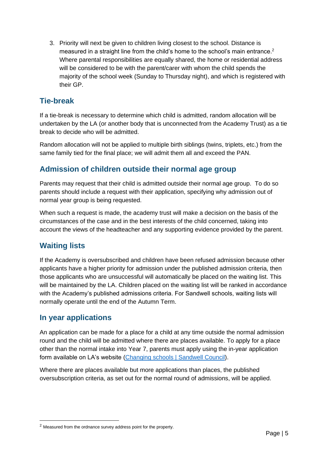3. Priority will next be given to children living closest to the school. Distance is measured in a straight line from the child's home to the school's main entrance.<sup>2</sup> Where parental responsibilities are equally shared, the home or residential address will be considered to be with the parent/carer with whom the child spends the majority of the school week (Sunday to Thursday night), and which is registered with their GP.

#### <span id="page-4-0"></span>**Tie-break**

If a tie-break is necessary to determine which child is admitted, random allocation will be undertaken by the LA (or another body that is unconnected from the Academy Trust) as a tie break to decide who will be admitted.

Random allocation will not be applied to multiple birth siblings (twins, triplets, etc.) from the same family tied for the final place; we will admit them all and exceed the PAN.

#### <span id="page-4-1"></span>**Admission of children outside their normal age group**

Parents may request that their child is admitted outside their normal age group. To do so parents should include a request with their application, specifying why admission out of normal year group is being requested.

When such a request is made, the academy trust will make a decision on the basis of the circumstances of the case and in the best interests of the child concerned, taking into account the views of the headteacher and any supporting evidence provided by the parent.

#### <span id="page-4-2"></span>**Waiting lists**

If the Academy is oversubscribed and children have been refused admission because other applicants have a higher priority for admission under the published admission criteria, then those applicants who are unsuccessful will automatically be placed on the waiting list. This will be maintained by the LA. Children placed on the waiting list will be ranked in accordance with the Academy's published admissions criteria. For Sandwell schools, waiting lists will normally operate until the end of the Autumn Term.

#### <span id="page-4-3"></span>**In year applications**

An application can be made for a place for a child at any time outside the normal admission round and the child will be admitted where there are places available. To apply for a place other than the normal intake into Year 7, parents must apply using the in-year application form available on LA's website [\(Changing schools | Sandwell Council\)](https://www.sandwell.gov.uk/info/200303/school_admissions/2053/changing_schools).

Where there are places available but more applications than places, the published oversubscription criteria, as set out for the normal round of admissions, will be applied.

<sup>2</sup> Measured from the ordnance survey address point for the property.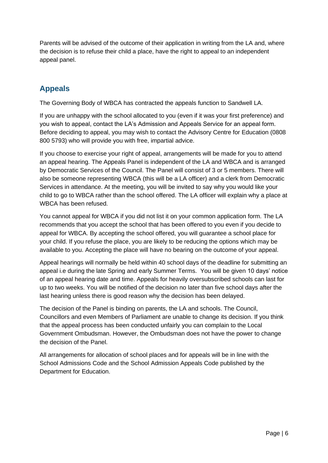Parents will be advised of the outcome of their application in writing from the LA and, where the decision is to refuse their child a place, have the right to appeal to an independent appeal panel.

## <span id="page-5-0"></span>**Appeals**

The Governing Body of WBCA has contracted the appeals function to Sandwell LA.

If you are unhappy with the school allocated to you (even if it was your first preference) and you wish to appeal, contact the LA's Admission and Appeals Service for an appeal form. Before deciding to appeal, you may wish to contact the Advisory Centre for Education (0808 800 5793) who will provide you with free, impartial advice.

If you choose to exercise your right of appeal, arrangements will be made for you to attend an appeal hearing. The Appeals Panel is independent of the LA and WBCA and is arranged by Democratic Services of the Council. The Panel will consist of 3 or 5 members. There will also be someone representing WBCA (this will be a LA officer) and a clerk from Democratic Services in attendance. At the meeting, you will be invited to say why you would like your child to go to WBCA rather than the school offered. The LA officer will explain why a place at WBCA has been refused.

You cannot appeal for WBCA if you did not list it on your common application form. The LA recommends that you accept the school that has been offered to you even if you decide to appeal for WBCA. By accepting the school offered, you will guarantee a school place for your child. If you refuse the place, you are likely to be reducing the options which may be available to you. Accepting the place will have no bearing on the outcome of your appeal.

Appeal hearings will normally be held within 40 school days of the deadline for submitting an appeal i.e during the late Spring and early Summer Terms. You will be given 10 days' notice of an appeal hearing date and time. Appeals for heavily oversubscribed schools can last for up to two weeks. You will be notified of the decision no later than five school days after the last hearing unless there is good reason why the decision has been delayed.

The decision of the Panel is binding on parents, the LA and schools. The Council, Councillors and even Members of Parliament are unable to change its decision. If you think that the appeal process has been conducted unfairly you can complain to the Local Government Ombudsman. However, the Ombudsman does not have the power to change the decision of the Panel.

All arrangements for allocation of school places and for appeals will be in line with the School Admissions Code and the School Admission Appeals Code published by the Department for Education.